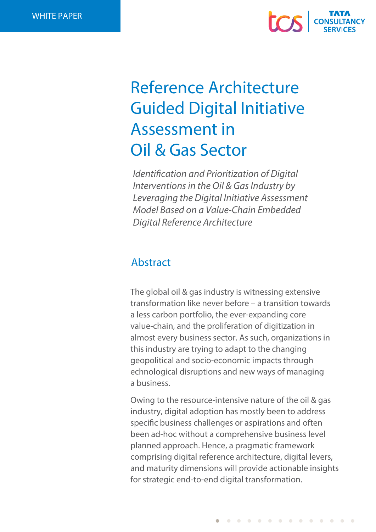

# Reference Architecture Guided Digital Initiative Assessment in Oil & Gas Sector

*Identification and Prioritization of Digital Interventions in the Oil & Gas Industry by Leveraging the Digital Initiative Assessment Model Based on a Value-Chain Embedded Digital Reference Architecture*

# Abstract

The global oil & gas industry is witnessing extensive transformation like never before – a transition towards a less carbon portfolio, the ever-expanding core value-chain, and the proliferation of digitization in almost every business sector. As such, organizations in this industry are trying to adapt to the changing geopolitical and socio-economic impacts through echnological disruptions and new ways of managing a business.

Owing to the resource-intensive nature of the oil & gas industry, digital adoption has mostly been to address specific business challenges or aspirations and often been ad-hoc without a comprehensive business level planned approach. Hence, a pragmatic framework comprising digital reference architecture, digital levers, and maturity dimensions will provide actionable insights for strategic end-to-end digital transformation.

. . . . . . . . . . . . . .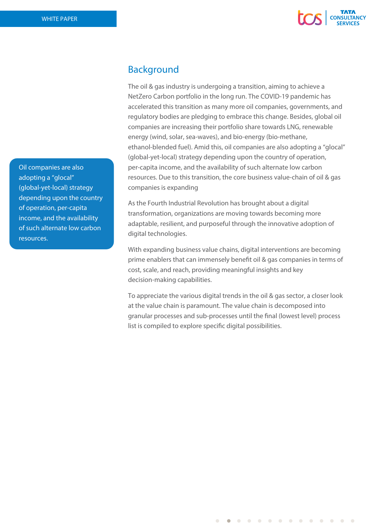

# Background

The oil & gas industry is undergoing a transition, aiming to achieve a NetZero Carbon portfolio in the long run. The COVID-19 pandemic has accelerated this transition as many more oil companies, governments, and regulatory bodies are pledging to embrace this change. Besides, global oil companies are increasing their portfolio share towards LNG, renewable energy (wind, solar, sea-waves), and bio-energy (bio-methane, ethanol-blended fuel). Amid this, oil companies are also adopting a "glocal" (global-yet-local) strategy depending upon the country of operation, per-capita income, and the availability of such alternate low carbon resources. Due to this transition, the core business value-chain of oil & gas companies is expanding

As the Fourth Industrial Revolution has brought about a digital transformation, organizations are moving towards becoming more adaptable, resilient, and purposeful through the innovative adoption of digital technologies.

With expanding business value chains, digital interventions are becoming prime enablers that can immensely benefit oil & gas companies in terms of cost, scale, and reach, providing meaningful insights and key decision-making capabilities.

To appreciate the various digital trends in the oil & gas sector, a closer look at the value chain is paramount. The value chain is decomposed into granular processes and sub-processes until the final (lowest level) process list is compiled to explore specific digital possibilities.

. . . . . . . . . . . . . .

Oil companies are also adopting a "glocal" (global-yet-local) strategy depending upon the country of operation, per-capita income, and the availability of such alternate low carbon resources.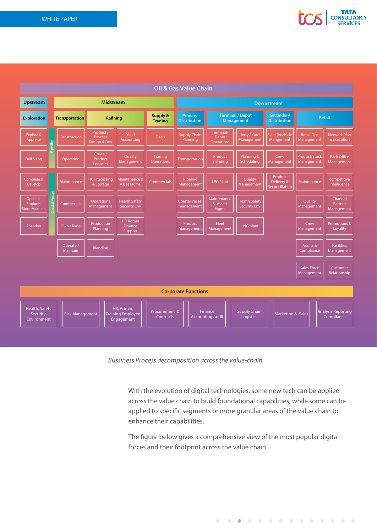



*Bussiness Process decomposition across the value-chain*

With the evolution of digital technologies, some new tech can be applied across the value chain to build foundational capabilities, while some can be applied to specific segments or more granular areas of the value chain to enhance their capabilities.

The figure below gives a comprehensive view of the most popular digital forces and their footprint across the value chain.

. . . . . . . . . . . . . . .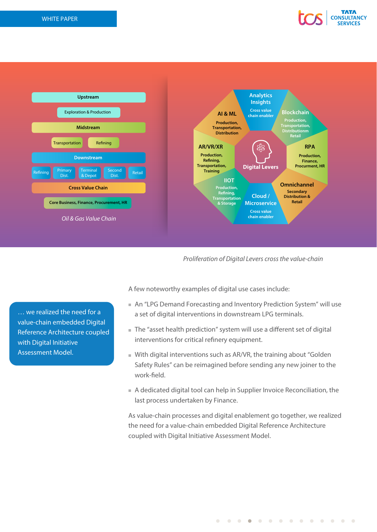



*Proliferation of Digital Levers cross the value-chain*

… we realized the need for a value-chain embedded Digital Reference Architecture coupled with Digital Initiative Assessment Model.

A few noteworthy examples of digital use cases include:

- An "LPG Demand Forecasting and Inventory Prediction System" will use a set of digital interventions in downstream LPG terminals.
- The "asset health prediction" system will use a different set of digital interventions for critical refinery equipment.
- With digital interventions such as AR/VR, the training about "Golden Safety Rules" can be reimagined before sending any new joiner to the work-field.
- A dedicated digital tool can help in Supplier Invoice Reconciliation, the last process undertaken by Finance.

As value-chain processes and digital enablement go together, we realized the need for a value-chain embedded Digital Reference Architecture coupled with Digital Initiative Assessment Model.

. . . **. . . . . . . . . .** .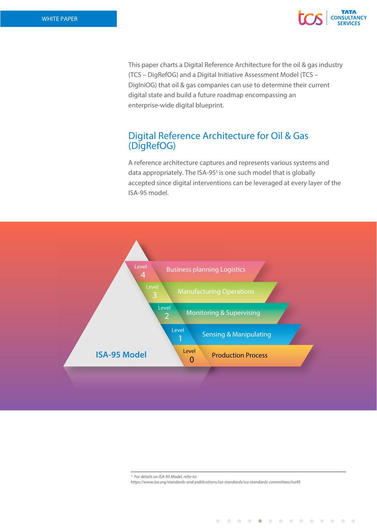

This paper charts a Digital Reference Architecture for the oil & gas industry (TCS – DigRefOG) and a Digital Initiative Assessment Model (TCS – DigIniOG) that oil & gas companies can use to determine their current digital state and build a future roadmap encompassing an enterprise-wide digital blueprint.

# Digital Reference Architecture for Oil & Gas (DigRefOG)

A reference architecture captures and represents various systems and data appropriately. The ISA-951 is one such model that is globally accepted since digital interventions can be leveraged at every layer of the ISA-95 model.



 $\blacksquare$ 

 $\sim$   $\sim$ 

 $\sim$  $\sim$  $\sim$  $\blacksquare$  $\bullet$   $\overline{\phantom{a}}$  $\overline{\phantom{a}}$  $\overline{\phantom{a}}$ 

 $\blacksquare$ 

*<sup>1</sup> For details on ISA-95 Model, refer to: https://www.isa.org/standards-and-publications/isa-standards/isa-standards-committees/isa95*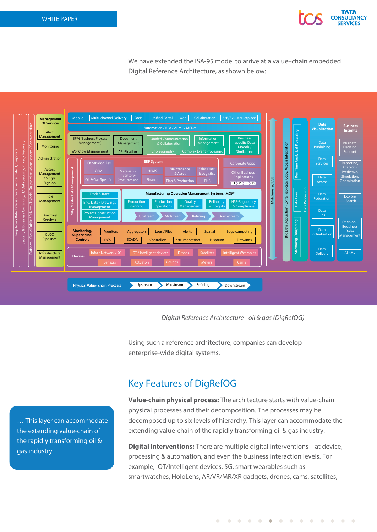

We have extended the ISA-95 model to arrive at a value–chain embedded Digital Reference Architecture, as shown below:



*Digital Reference Architecture - oil & gas (DigRefOG)*

Using such a reference architecture, companies can develop enterprise-wide digital systems.

… This layer can accommodate the extending value-chain of the rapidly transforming oil & gas industry.

# Key Features of DigRefOG

**Value-chain physical process:** The architecture starts with value-chain physical processes and their decomposition. The processes may be decomposed up to six levels of hierarchy. This layer can accommodate the extending value-chain of the rapidly transforming oil & gas industry.

**Digital interventions:** There are multiple digital interventions – at device, processing & automation, and even the business interaction levels. For example, IOT/Intelligent devices, 5G, smart wearables such as smartwatches, HoloLens, AR/VR/MR/XR gadgets, drones, cams, satellites,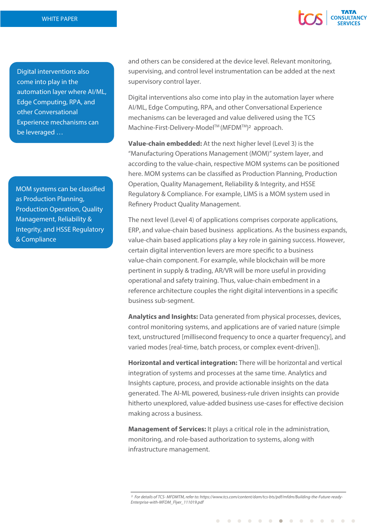

Digital interventions also come into play in the automation layer where AI/ML, Edge Computing, RPA, and other Conversational Experience mechanisms can be leveraged …

MOM systems can be classified as Production Planning, Production Operation, Quality Management, Reliability & Integrity, and HSSE Regulatory & Compliance

and others can be considered at the device level. Relevant monitoring, supervising, and control level instrumentation can be added at the next supervisory control layer.

Digital interventions also come into play in the automation layer where AI/ML, Edge Computing, RPA, and other Conversational Experience mechanisms can be leveraged and value delivered using the TCS Machine-First-Delivery-Model™ (MFDM™)<sup>2</sup> approach.

**Value-chain embedded:** At the next higher level (Level 3) is the "Manufacturing Operations Management (MOM)" system layer, and according to the value-chain, respective MOM systems can be positioned here. MOM systems can be classified as Production Planning, Production Operation, Quality Management, Reliability & Integrity, and HSSE Regulatory & Compliance. For example, LIMS is a MOM system used in Refinery Product Quality Management.

The next level (Level 4) of applications comprises corporate applications, ERP, and value-chain based business applications. As the business expands, value-chain based applications play a key role in gaining success. However, certain digital intervention levers are more specific to a business value-chain component. For example, while blockchain will be more pertinent in supply & trading, AR/VR will be more useful in providing operational and safety training. Thus, value-chain embedment in a reference architecture couples the right digital interventions in a specific business sub-segment.

**Analytics and Insights:** Data generated from physical processes, devices, control monitoring systems, and applications are of varied nature (simple text, unstructured [millisecond frequency to once a quarter frequency], and varied modes [real-time, batch process, or complex event-driven]).

**Horizontal and vertical integration:** There will be horizontal and vertical integration of systems and processes at the same time. Analytics and Insights capture, process, and provide actionable insights on the data generated. The AI-ML powered, business-rule driven insights can provide hitherto unexplored, value-added business use-cases for effective decision making across a business.

**Management of Services:** It plays a critical role in the administration, monitoring, and role-based authorization to systems, along with infrastructure management.

*2 For details of TCS- MFDMTM, refer to: https://www.tcs.com/content/dam/tcs-bts/pdf/mfdm/Building-the-Future-ready-Enterprise-with-MFDM\_Flyer\_111019.pdf*

 $\overline{\phantom{a}}$  $\overline{\phantom{a}}$  $\bullet$  . . . .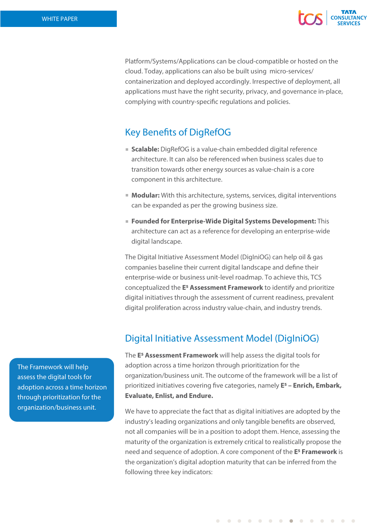

Platform/Systems/Applications can be cloud-compatible or hosted on the cloud. Today, applications can also be built using micro-services/ containerization and deployed accordingly. Irrespective of deployment, all applications must have the right security, privacy, and governance in-place, complying with country-specific regulations and policies.

# **Key Benefits of DigRefOG**

- **Scalable:** DigRefOG is a value-chain embedded digital reference architecture. It can also be referenced when business scales due to transition towards other energy sources as value-chain is a core component in this architecture.
- **Modular:** With this architecture, systems, services, digital interventions can be expanded as per the growing business size.
- **Founded for Enterprise-Wide Digital Systems Development:** This architecture can act as a reference for developing an enterprise-wide digital landscape.

The Digital Initiative Assessment Model (DigIniOG) can help oil & gas companies baseline their current digital landscape and define their enterprise-wide or business unit-level roadmap. To achieve this, TCS conceptualized the **E5 Assessment Framework** to identify and prioritize digital initiatives through the assessment of current readiness, prevalent digital proliferation across industry value-chain, and industry trends.

# Digital Initiative Assessment Model (DigIniOG)

The **E5 Assessment Framework** will help assess the digital tools for adoption across a time horizon through prioritization for the organization/business unit. The outcome of the framework will be a list of prioritized initiatives covering five categories, namely **E<sup>5</sup> – Enrich, Embark, Evaluate, Enlist, and Endure.** 

We have to appreciate the fact that as digital initiatives are adopted by the industry's leading organizations and only tangible benefits are observed, not all companies will be in a position to adopt them. Hence, assessing the maturity of the organization is extremely critical to realistically propose the need and sequence of adoption. A core component of the **E5 Framework** is the organization's digital adoption maturity that can be inferred from the following three key indicators:

The Framework will help assess the digital tools for adoption across a time horizon through prioritization for the organization/business unit.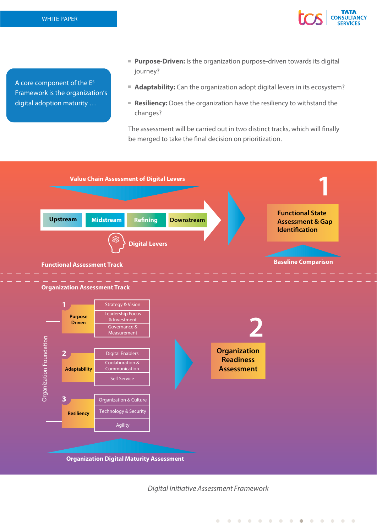A core component of the E5 Framework is the organization's digital adoption maturity …

**Purpose-Driven:** Is the organization purpose-driven towards its digital journey?

**CONSULTANCY** 

- **Adaptability:** Can the organization adopt digital levers in its ecosystem?
- **Resiliency:** Does the organization have the resiliency to withstand the changes?

The assessment will be carried out in two distinct tracks, which will finally be merged to take the final decision on prioritization.



*Digital Initiative Assessment Framework*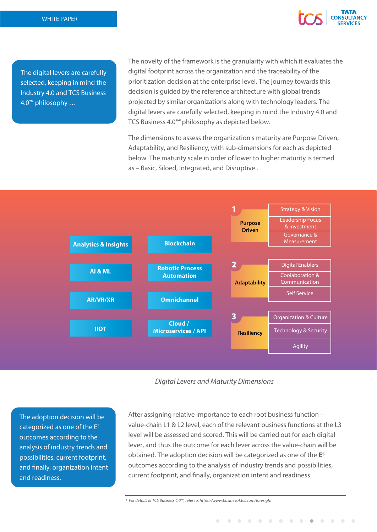

The digital levers are carefully selected, keeping in mind the Industry 4.0 and TCS Business 4.0™ philosophy …

The novelty of the framework is the granularity with which it evaluates the digital footprint across the organization and the traceability of the prioritization decision at the enterprise level. The journey towards this decision is guided by the reference architecture with global trends projected by similar organizations along with technology leaders. The digital levers are carefully selected, keeping in mind the Industry 4.0 and TCS Business 4.0™<sup>3</sup> philosophy as depicted below.

The dimensions to assess the organization's maturity are Purpose Driven, Adaptability, and Resiliency, with sub-dimensions for each as depicted below. The maturity scale in order of lower to higher maturity is termed as – Basic, Siloed, Integrated, and Disruptive..



*Digital Levers and Maturity Dimensions*

The adoption decision will be categorized as one of the E5 outcomes according to the analysis of industry trends and possibilities, current footprint, and finally, organization intent and readiness.

After assigning relative importance to each root business function – value-chain L1 & L2 level, each of the relevant business functions at the L3 level will be assessed and scored. This will be carried out for each digital lever, and thus the outcome for each lever across the value-chain will be obtained. The adoption decision will be categorized as one of the **E5** outcomes according to the analysis of industry trends and possibilities, current footprint, and finally, organization intent and readiness.

. . . . . . . . . . . . . .

*3 For details of TCS Business 4.0™, refer to: https://www.business4.tcs.com/foresight*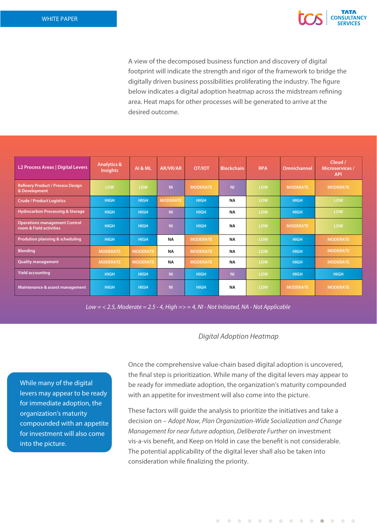

A view of the decomposed business function and discovery of digital footprint will indicate the strength and rigor of the framework to bridge the digitally driven business possibilities proliferating the industry. The figure below indicates a digital adoption heatmap across the midstream refining area. Heat maps for other processes will be generated to arrive at the desired outcome.

| L2 Process Areas   Digital Levers                               | <b>Analytics &amp;</b><br><b>Insights</b> | AI & ML         | AR/VR/AR        | <b>OT/IOT</b>   | <b>Blockchain</b> | <b>RPA</b> | Omnichannel     | Cloud /<br><b>Microservices /</b><br><b>API</b> |
|-----------------------------------------------------------------|-------------------------------------------|-----------------|-----------------|-----------------|-------------------|------------|-----------------|-------------------------------------------------|
| <b>Refinery Product / Process Design</b><br>& Development       | LOW                                       | LOW             | N <sub>II</sub> | <b>MODERATE</b> | N <sub>II</sub>   | LOW        | <b>MODERATE</b> | <b>MODERATE</b>                                 |
| <b>Crude / Product Logistics</b>                                | <b>HIGH</b>                               | <b>HIGH</b>     | <b>MODERATE</b> | <b>HIGH</b>     | <b>NA</b>         | LOW        | <b>HIGH</b>     | LOW                                             |
| <b>Hydrocarbon Processing &amp; Storage</b>                     | <b>HIGH</b>                               | <b>HIGH</b>     | N <sub>II</sub> | <b>HIGH</b>     | <b>NA</b>         | LOW        | <b>HIGH</b>     | LOW                                             |
| <b>Operations management Control</b><br>room & Field activities | <b>HIGH</b>                               | <b>HIGH</b>     | N <sub>II</sub> | <b>HIGH</b>     | <b>NA</b>         | LOW        | <b>MODERATE</b> | LOW                                             |
| Prodution planning & scheduling                                 | <b>HIGH</b>                               | <b>HIGH</b>     | <b>NA</b>       | <b>MODERATE</b> | <b>NA</b>         | LOW        | <b>HIGH</b>     | <b>MODERATE</b>                                 |
| <b>Blending</b>                                                 | <b>MODERATE</b>                           | <b>MODERATE</b> | <b>NA</b>       | <b>MODERATE</b> | <b>NA</b>         | LOW        | <b>HIGH</b>     | <b>MODERATE</b>                                 |
| <b>Quality management</b>                                       | <b>MODERATE</b>                           | <b>MODERATE</b> | <b>NA</b>       | <b>MODERATE</b> | <b>NA</b>         | LOW        | <b>HIGH</b>     | <b>MODERATE</b>                                 |
| <b>Yield accounting</b>                                         | <b>HIGH</b>                               | <b>HIGH</b>     | N <sub>II</sub> | <b>HIGH</b>     | <b>NI</b>         | LOW        | <b>HIGH</b>     | <b>HIGH</b>                                     |
| Maintenance & assest management                                 | <b>HIGH</b>                               | <b>HIGH</b>     | <b>NI</b>       | <b>HIGH</b>     | <b>NA</b>         | LOW        | <b>MODERATE</b> | <b>MODERATE</b>                                 |

*Low = < 2.5, Moderate = 2.5 - 4, High => = 4, NI - Not Initiated, NA - Not Applicable*

## *Digital Adoption Heatmap*

While many of the digital levers may appear to be ready for immediate adoption, the organization's maturity compounded with an appetite for investment will also come into the picture.

Once the comprehensive value-chain based digital adoption is uncovered, the final step is prioritization. While many of the digital levers may appear to be ready for immediate adoption, the organization's maturity compounded with an appetite for investment will also come into the picture.

These factors will guide the analysis to prioritize the initiatives and take a decision on – *Adopt Now, Plan Organization-Wide Socialization and Change Management for near future adoption, Deliberate Further* on investment vis-a-vis benefit, and Keep on Hold in case the benefit is not considerable. The potential applicability of the digital lever shall also be taken into consideration while finalizing the priority.

. . . . . . . . . . . . . .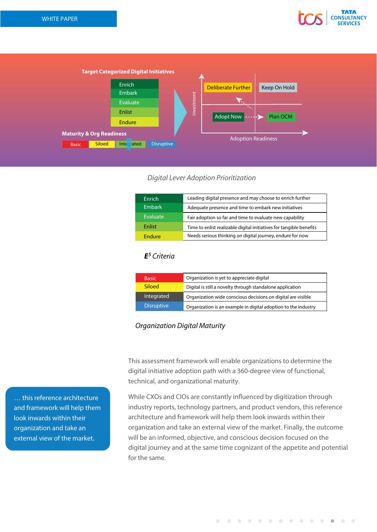



## *Digital Lever Adoption Prioritization*

| Enrich        | Leading digital presence and may choose to enrich further           |
|---------------|---------------------------------------------------------------------|
| <b>Embark</b> | Adequate presence and time to embark new initiatives                |
| Evaluate      | Fair adoption so far and time to evaluate new capability            |
| Enlist        | Time to enlist realizable digital initiatives for tangible benefits |
| Endure        | Needs serious thinking on digital journey, endure for now           |

## *E5 Criteria*

| <b>Basic</b>      | Organization is yet to appreciate digital                      |  |  |
|-------------------|----------------------------------------------------------------|--|--|
| <b>Siloed</b>     | Digital is still a novelty through standalone application      |  |  |
| Integrated        | Organization wide conscious decisions on digital are visible   |  |  |
| <b>Disruptive</b> | Organization is an example in digital adoption to the industry |  |  |

## *Organization Digital Maturity*

This assessment framework will enable organizations to determine the digital initiative adoption path with a 360-degree view of functional, technical, and organizational maturity.

While CXOs and CIOs are constantly influenced by digitization through industry reports, technology partners, and product vendors, this reference architecture and framework will help them look inwards within their organization and take an external view of the market. Finally, the outcome will be an informed, objective, and conscious decision focused on the digital journey and at the same time cognizant of the appetite and potential for the same.

… this reference architecture and framework will help them look inwards within their organization and take an external view of the market.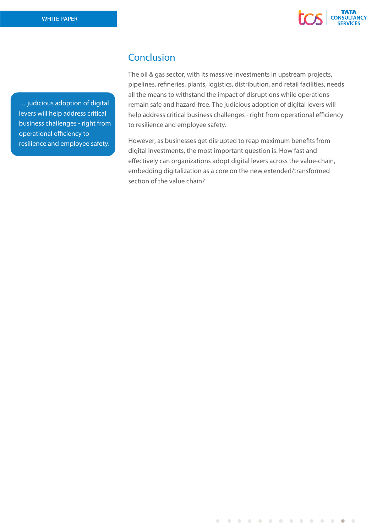

… judicious adoption of digital levers will help address critical business challenges - right from operational efficiency to resilience and employee safety.

# Conclusion

The oil & gas sector, with its massive investments in upstream projects, pipelines, refineries, plants, logistics, distribution, and retail facilities, needs all the means to withstand the impact of disruptions while operations remain safe and hazard-free. The judicious adoption of digital levers will help address critical business challenges - right from operational efficiency to resilience and employee safety.

However, as businesses get disrupted to reap maximum benefits from digital investments, the most important question is: How fast and effectively can organizations adopt digital levers across the value-chain, embedding digitalization as a core on the new extended/transformed section of the value chain?

 $\bullet$  $\bullet$  $\overline{\phantom{0}}$